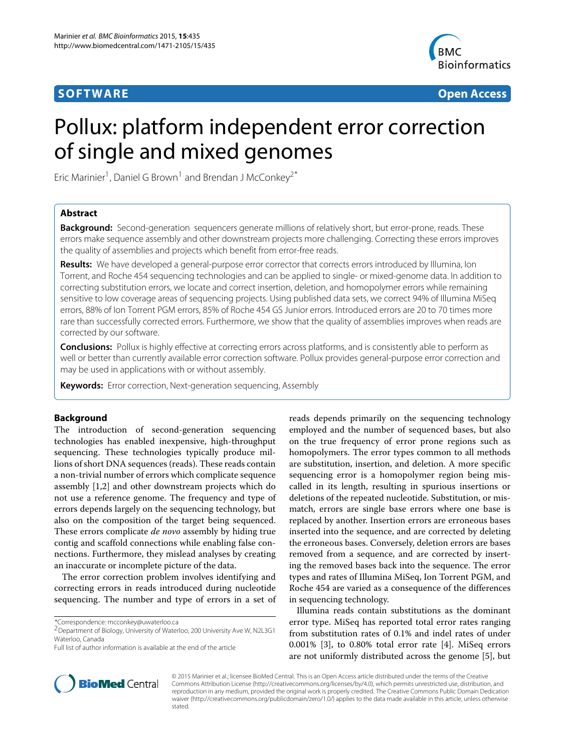## **SOFTWARE Open Access**



# Pollux: platform independent error correction of single and mixed genomes

Eric Marinier<sup>1</sup>, Daniel G Brown<sup>1</sup> and Brendan J McConkey<sup>2\*</sup>

## **Abstract**

**Background:** Second-generation sequencers generate millions of relatively short, but error-prone, reads. These errors make sequence assembly and other downstream projects more challenging. Correcting these errors improves the quality of assemblies and projects which benefit from error-free reads.

**Results:** We have developed a general-purpose error corrector that corrects errors introduced by Illumina, Ion Torrent, and Roche 454 sequencing technologies and can be applied to single- or mixed-genome data. In addition to correcting substitution errors, we locate and correct insertion, deletion, and homopolymer errors while remaining sensitive to low coverage areas of sequencing projects. Using published data sets, we correct 94% of Illumina MiSeq errors, 88% of Ion Torrent PGM errors, 85% of Roche 454 GS Junior errors. Introduced errors are 20 to 70 times more rare than successfully corrected errors. Furthermore, we show that the quality of assemblies improves when reads are corrected by our software.

**Conclusions:** Pollux is highly effective at correcting errors across platforms, and is consistently able to perform as well or better than currently available error correction software. Pollux provides general-purpose error correction and may be used in applications with or without assembly.

**Keywords:** Error correction, Next-generation sequencing, Assembly

## **Background**

The introduction of second-generation sequencing technologies has enabled inexpensive, high-throughput sequencing. These technologies typically produce millions of short DNA sequences (reads). These reads contain a non-trivial number of errors which complicate sequence assembly [\[1,](#page-11-0)[2\]](#page-11-1) and other downstream projects which do not use a reference genome. The frequency and type of errors depends largely on the sequencing technology, but also on the composition of the target being sequenced. These errors complicate *de novo* assembly by hiding true contig and scaffold connections while enabling false connections. Furthermore, they mislead analyses by creating an inaccurate or incomplete picture of the data.

The error correction problem involves identifying and correcting errors in reads introduced during nucleotide sequencing. The number and type of errors in a set of

\*Correspondence: [mcconkey@uwaterloo.ca](mailto: mcconkey@uwaterloo.ca)

reads depends primarily on the sequencing technology employed and the number of sequenced bases, but also on the true frequency of error prone regions such as homopolymers. The error types common to all methods are substitution, insertion, and deletion. A more specific sequencing error is a homopolymer region being miscalled in its length, resulting in spurious insertions or deletions of the repeated nucleotide. Substitution, or mismatch, errors are single base errors where one base is replaced by another. Insertion errors are erroneous bases inserted into the sequence, and are corrected by deleting the erroneous bases. Conversely, deletion errors are bases removed from a sequence, and are corrected by inserting the removed bases back into the sequence. The error types and rates of Illumina MiSeq, Ion Torrent PGM, and Roche 454 are varied as a consequence of the differences in sequencing technology.

Illumina reads contain substitutions as the dominant error type. MiSeq has reported total error rates ranging from substitution rates of 0.1% and indel rates of under 0.001% [\[3\]](#page-11-2), to 0.80% total error rate [\[4\]](#page-11-3). MiSeq errors are not uniformly distributed across the genome [\[5\]](#page-11-4), but



© 2015 Marinier et al.; licensee BioMed Central. This is an Open Access article distributed under the terms of the Creative Commons Attribution License [\(http://creativecommons.org/licenses/by/4.0\)](http://creativecommons.org/licenses/by/4.0), which permits unrestricted use, distribution, and reproduction in any medium, provided the original work is properly credited. The Creative Commons Public Domain Dedication waiver [\(http://creativecommons.org/publicdomain/zero/1.0/\)](http://creativecommons.org/publicdomain/zero/1.0/) applies to the data made available in this article, unless otherwise stated.

<sup>2</sup>Department of Biology, University of Waterloo, 200 University Ave W, N2L3G1 Waterloo, Canada

Full list of author information is available at the end of the article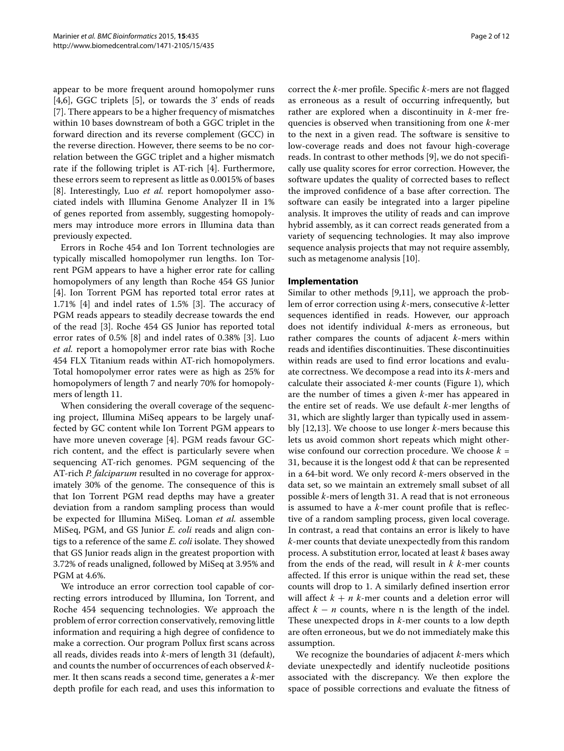appear to be more frequent around homopolymer runs [\[4](#page-11-3)[,6\]](#page-11-5), GGC triplets [\[5\]](#page-11-4), or towards the 3' ends of reads [\[7\]](#page-11-6). There appears to be a higher frequency of mismatches within 10 bases downstream of both a GGC triplet in the forward direction and its reverse complement (GCC) in the reverse direction. However, there seems to be no correlation between the GGC triplet and a higher mismatch rate if the following triplet is AT-rich [\[4\]](#page-11-3). Furthermore, these errors seem to represent as little as 0.0015% of bases [\[8\]](#page-11-7). Interestingly, Luo *et al.* report homopolymer associated indels with Illumina Genome Analyzer II in 1% of genes reported from assembly, suggesting homopolymers may introduce more errors in Illumina data than previously expected.

Errors in Roche 454 and Ion Torrent technologies are typically miscalled homopolymer run lengths. Ion Torrent PGM appears to have a higher error rate for calling homopolymers of any length than Roche 454 GS Junior [\[4\]](#page-11-3). Ion Torrent PGM has reported total error rates at 1.71% [\[4\]](#page-11-3) and indel rates of 1.5% [\[3\]](#page-11-2). The accuracy of PGM reads appears to steadily decrease towards the end of the read [\[3\]](#page-11-2). Roche 454 GS Junior has reported total error rates of 0.5% [\[8\]](#page-11-7) and indel rates of 0.38% [\[3\]](#page-11-2). Luo *et al.* report a homopolymer error rate bias with Roche 454 FLX Titanium reads within AT-rich homopolymers. Total homopolymer error rates were as high as 25% for homopolymers of length 7 and nearly 70% for homopolymers of length 11.

When considering the overall coverage of the sequencing project, Illumina MiSeq appears to be largely unaffected by GC content while Ion Torrent PGM appears to have more uneven coverage [\[4\]](#page-11-3). PGM reads favour GCrich content, and the effect is particularly severe when sequencing AT-rich genomes. PGM sequencing of the AT-rich *P. falciparum* resulted in no coverage for approximately 30% of the genome. The consequence of this is that Ion Torrent PGM read depths may have a greater deviation from a random sampling process than would be expected for Illumina MiSeq. Loman *et al.* assemble MiSeq, PGM, and GS Junior *E. coli* reads and align contigs to a reference of the same *E. coli* isolate. They showed that GS Junior reads align in the greatest proportion with 3.72% of reads unaligned, followed by MiSeq at 3.95% and PGM at 4.6%.

We introduce an error correction tool capable of correcting errors introduced by Illumina, Ion Torrent, and Roche 454 sequencing technologies. We approach the problem of error correction conservatively, removing little information and requiring a high degree of confidence to make a correction. Our program Pollux first scans across all reads, divides reads into *k*-mers of length 31 (default), and counts the number of occurrences of each observed *k*mer. It then scans reads a second time, generates a *k*-mer depth profile for each read, and uses this information to

correct the *k*-mer profile. Specific *k*-mers are not flagged as erroneous as a result of occurring infrequently, but rather are explored when a discontinuity in *k*-mer frequencies is observed when transitioning from one *k*-mer to the next in a given read. The software is sensitive to low-coverage reads and does not favour high-coverage reads. In contrast to other methods [\[9\]](#page-11-8), we do not specifically use quality scores for error correction. However, the software updates the quality of corrected bases to reflect the improved confidence of a base after correction. The software can easily be integrated into a larger pipeline analysis. It improves the utility of reads and can improve hybrid assembly, as it can correct reads generated from a variety of sequencing technologies. It may also improve sequence analysis projects that may not require assembly, such as metagenome analysis [\[10\]](#page-11-9).

## **Implementation**

Similar to other methods [\[9,](#page-11-8)[11\]](#page-11-10), we approach the problem of error correction using *k*-mers, consecutive *k*-letter sequences identified in reads. However, our approach does not identify individual *k*-mers as erroneous, but rather compares the counts of adjacent *k*-mers within reads and identifies discontinuities. These discontinuities within reads are used to find error locations and evaluate correctness. We decompose a read into its *k*-mers and calculate their associated *k*-mer counts (Figure [1\)](#page-2-0), which are the number of times a given *k*-mer has appeared in the entire set of reads. We use default *k*-mer lengths of 31, which are slightly larger than typically used in assembly [\[12](#page-11-11)[,13\]](#page-11-12). We choose to use longer *k*-mers because this lets us avoid common short repeats which might otherwise confound our correction procedure. We choose *k* = 31, because it is the longest odd *k* that can be represented in a 64-bit word. We only record *k*-mers observed in the data set, so we maintain an extremely small subset of all possible *k*-mers of length 31. A read that is not erroneous is assumed to have a *k*-mer count profile that is reflective of a random sampling process, given local coverage. In contrast, a read that contains an error is likely to have *k*-mer counts that deviate unexpectedly from this random process. A substitution error, located at least *k* bases away from the ends of the read, will result in *k k*-mer counts affected. If this error is unique within the read set, these counts will drop to 1. A similarly defined insertion error will affect  $k + n$  k-mer counts and a deletion error will affect  $k - n$  counts, where n is the length of the indel. These unexpected drops in *k*-mer counts to a low depth are often erroneous, but we do not immediately make this assumption.

We recognize the boundaries of adjacent *k*-mers which deviate unexpectedly and identify nucleotide positions associated with the discrepancy. We then explore the space of possible corrections and evaluate the fitness of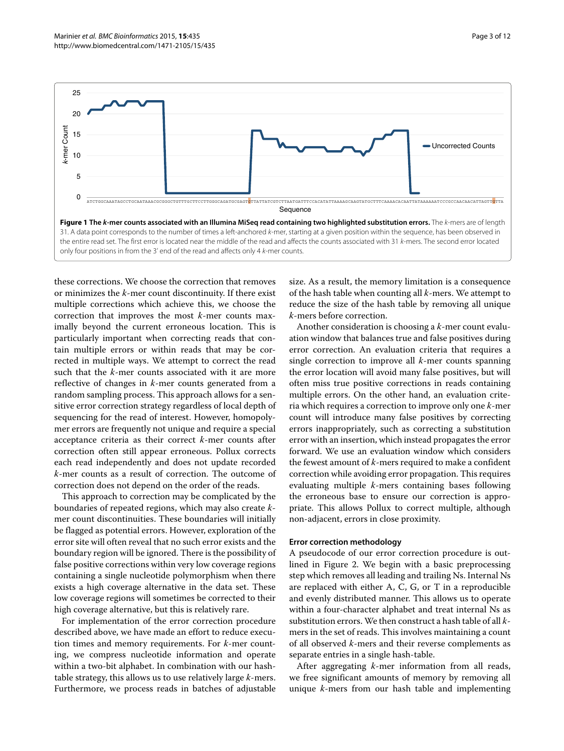

<span id="page-2-0"></span>these corrections. We choose the correction that removes or minimizes the *k*-mer count discontinuity. If there exist multiple corrections which achieve this, we choose the correction that improves the most *k*-mer counts maximally beyond the current erroneous location. This is particularly important when correcting reads that contain multiple errors or within reads that may be corrected in multiple ways. We attempt to correct the read such that the *k*-mer counts associated with it are more reflective of changes in *k*-mer counts generated from a random sampling process. This approach allows for a sensitive error correction strategy regardless of local depth of sequencing for the read of interest. However, homopolymer errors are frequently not unique and require a special acceptance criteria as their correct *k*-mer counts after correction often still appear erroneous. Pollux corrects each read independently and does not update recorded *k*-mer counts as a result of correction. The outcome of correction does not depend on the order of the reads.

This approach to correction may be complicated by the boundaries of repeated regions, which may also create *k*mer count discontinuities. These boundaries will initially be flagged as potential errors. However, exploration of the error site will often reveal that no such error exists and the boundary region will be ignored. There is the possibility of false positive corrections within very low coverage regions containing a single nucleotide polymorphism when there exists a high coverage alternative in the data set. These low coverage regions will sometimes be corrected to their high coverage alternative, but this is relatively rare.

For implementation of the error correction procedure described above, we have made an effort to reduce execution times and memory requirements. For *k*-mer counting, we compress nucleotide information and operate within a two-bit alphabet. In combination with our hashtable strategy, this allows us to use relatively large *k*-mers. Furthermore, we process reads in batches of adjustable

size. As a result, the memory limitation is a consequence of the hash table when counting all *k*-mers. We attempt to reduce the size of the hash table by removing all unique *k*-mers before correction.

Another consideration is choosing a *k*-mer count evaluation window that balances true and false positives during error correction. An evaluation criteria that requires a single correction to improve all *k*-mer counts spanning the error location will avoid many false positives, but will often miss true positive corrections in reads containing multiple errors. On the other hand, an evaluation criteria which requires a correction to improve only one *k*-mer count will introduce many false positives by correcting errors inappropriately, such as correcting a substitution error with an insertion, which instead propagates the error forward. We use an evaluation window which considers the fewest amount of *k*-mers required to make a confident correction while avoiding error propagation. This requires evaluating multiple *k*-mers containing bases following the erroneous base to ensure our correction is appropriate. This allows Pollux to correct multiple, although non-adjacent, errors in close proximity.

#### **Error correction methodology**

A pseudocode of our error correction procedure is outlined in Figure [2.](#page-3-0) We begin with a basic preprocessing step which removes all leading and trailing Ns. Internal Ns are replaced with either A, C, G, or T in a reproducible and evenly distributed manner. This allows us to operate within a four-character alphabet and treat internal Ns as substitution errors. We then construct a hash table of all *k*mers in the set of reads. This involves maintaining a count of all observed *k*-mers and their reverse complements as separate entries in a single hash-table.

After aggregating *k*-mer information from all reads, we free significant amounts of memory by removing all unique *k*-mers from our hash table and implementing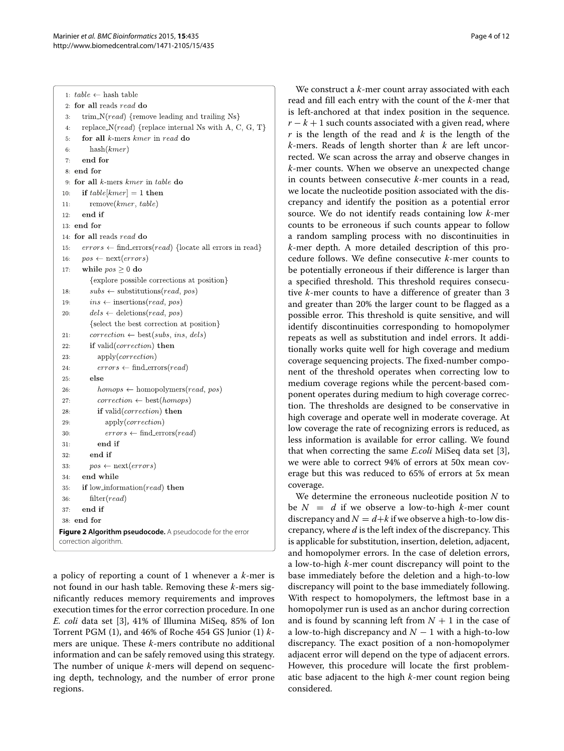| 1: $table \leftarrow$ hash table                                                   |
|------------------------------------------------------------------------------------|
| for all reads read do<br>2:                                                        |
| trim_ $N(read)$ {remove leading and trailing $Ns$ }<br>3:                          |
| replace_N( $read$ ) {replace internal Ns with A, C, G, T}<br>4:                    |
| for all $k$ -mers kmer in read do<br>5:                                            |
| hash(kmer)<br>6:                                                                   |
| end for<br>7:                                                                      |
| end for<br>8:                                                                      |
| for all $k$ -mers kmer in table do<br>9:                                           |
| if $table[kmer] = 1$ then<br>10:                                                   |
| remove(kmer, table)<br>11:                                                         |
| end if<br>12:                                                                      |
| end for<br>13:                                                                     |
| for all reads read do<br>14:                                                       |
| $errors \leftarrow find\_errors.read)$ {locate all errors in read}<br>15:          |
| $pos \leftarrow next(errors)$<br>16:                                               |
| while $pos \geq 0$ do<br>17:                                                       |
| {explore possible corrections at position}                                         |
| $subs \leftarrow$ substitutions( <i>read</i> , <i>pos</i> )<br>18:                 |
| $ins \leftarrow$ insertions( <i>read</i> , <i>pos</i> )<br>19:                     |
| $dels \leftarrow$ deletions( <i>read</i> , <i>pos</i> )<br>20:                     |
| {select the best correction at position}                                           |
| $correction \leftarrow best(subs, ins, dels)$<br>21:                               |
| <b>if</b> valid( <i>correction</i> ) then<br>22:                                   |
| apply(correction)<br>23:                                                           |
| $errors \leftarrow find\_errors.read)$<br>24:                                      |
| else<br>25:                                                                        |
| $homops \leftarrow homopolymers(read, pos)$<br>26:                                 |
| $correction \leftarrow best(homops)$<br>27:                                        |
| <b>if</b> valid( <i>correction</i> ) <b>then</b><br>28:                            |
| apply(correction)<br>29:                                                           |
| $errors \leftarrow find\_errors.read)$<br>30:                                      |
| end if<br>31:                                                                      |
| end if<br>32:                                                                      |
| $pos \leftarrow next(errors)$<br>33:                                               |
| end while<br>34:                                                                   |
| <b>if</b> low_information( $read$ ) <b>then</b><br>35:                             |
| filter (read)<br>36:                                                               |
| end if<br>37:                                                                      |
| 38: end for                                                                        |
| Figure 2 Algorithm pseudocode. A pseudocode for the error<br>correction algorithm. |
|                                                                                    |

<span id="page-3-0"></span>a policy of reporting a count of 1 whenever a *k*-mer is not found in our hash table. Removing these *k*-mers significantly reduces memory requirements and improves execution times for the error correction procedure. In one *E. coli* data set [\[3\]](#page-11-2), 41% of Illumina MiSeq, 85% of Ion Torrent PGM (1), and 46% of Roche 454 GS Junior (1) *k*mers are unique. These *k*-mers contribute no additional information and can be safely removed using this strategy. The number of unique *k*-mers will depend on sequencing depth, technology, and the number of error prone regions.

We construct a *k*-mer count array associated with each read and fill each entry with the count of the *k*-mer that is left-anchored at that index position in the sequence.  $r - k + 1$  such counts associated with a given read, where *r* is the length of the read and *k* is the length of the *k*-mers. Reads of length shorter than *k* are left uncorrected. We scan across the array and observe changes in *k*-mer counts. When we observe an unexpected change in counts between consecutive *k*-mer counts in a read, we locate the nucleotide position associated with the discrepancy and identify the position as a potential error source. We do not identify reads containing low *k*-mer counts to be erroneous if such counts appear to follow a random sampling process with no discontinuities in *k*-mer depth. A more detailed description of this procedure follows. We define consecutive *k*-mer counts to be potentially erroneous if their difference is larger than a specified threshold. This threshold requires consecutive *k*-mer counts to have a difference of greater than 3 and greater than 20% the larger count to be flagged as a possible error. This threshold is quite sensitive, and will identify discontinuities corresponding to homopolymer repeats as well as substitution and indel errors. It additionally works quite well for high coverage and medium coverage sequencing projects. The fixed-number component of the threshold operates when correcting low to medium coverage regions while the percent-based component operates during medium to high coverage correction. The thresholds are designed to be conservative in high coverage and operate well in moderate coverage. At low coverage the rate of recognizing errors is reduced, as less information is available for error calling. We found that when correcting the same *E.coli* MiSeq data set [\[3\]](#page-11-2), we were able to correct 94% of errors at 50x mean coverage but this was reduced to 65% of errors at 5x mean coverage.

We determine the erroneous nucleotide position *N* to be  $N = d$  if we observe a low-to-high *k*-mer count discrepancy and  $N = d+k$  if we observe a high-to-low discrepancy, where *d* is the left index of the discrepancy. This is applicable for substitution, insertion, deletion, adjacent, and homopolymer errors. In the case of deletion errors, a low-to-high *k*-mer count discrepancy will point to the base immediately before the deletion and a high-to-low discrepancy will point to the base immediately following. With respect to homopolymers, the leftmost base in a homopolymer run is used as an anchor during correction and is found by scanning left from  $N + 1$  in the case of a low-to-high discrepancy and  $N-1$  with a high-to-low discrepancy. The exact position of a non-homopolymer adjacent error will depend on the type of adjacent errors. However, this procedure will locate the first problematic base adjacent to the high *k*-mer count region being considered.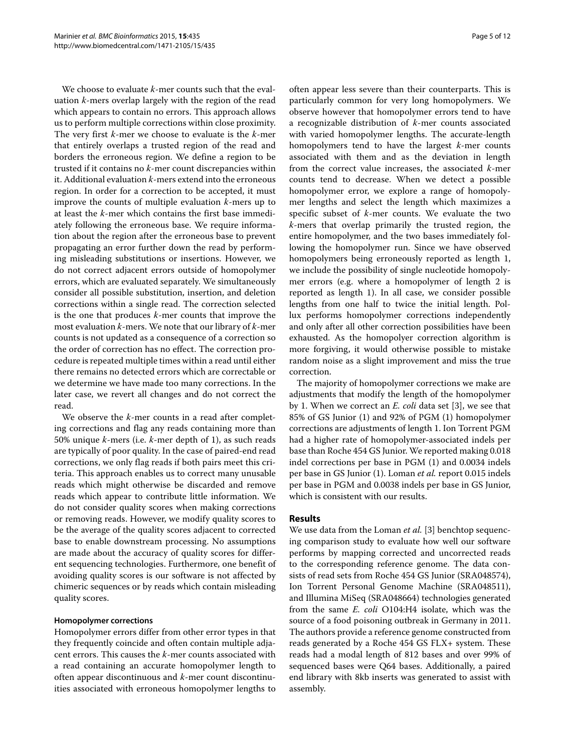We choose to evaluate *k*-mer counts such that the evaluation *k*-mers overlap largely with the region of the read which appears to contain no errors. This approach allows us to perform multiple corrections within close proximity. The very first *k*-mer we choose to evaluate is the *k*-mer that entirely overlaps a trusted region of the read and borders the erroneous region. We define a region to be trusted if it contains no *k*-mer count discrepancies within it. Additional evaluation *k*-mers extend into the erroneous region. In order for a correction to be accepted, it must improve the counts of multiple evaluation *k*-mers up to at least the *k*-mer which contains the first base immediately following the erroneous base. We require information about the region after the erroneous base to prevent propagating an error further down the read by performing misleading substitutions or insertions. However, we do not correct adjacent errors outside of homopolymer errors, which are evaluated separately. We simultaneously consider all possible substitution, insertion, and deletion corrections within a single read. The correction selected is the one that produces *k*-mer counts that improve the most evaluation *k*-mers. We note that our library of *k*-mer counts is not updated as a consequence of a correction so the order of correction has no effect. The correction procedure is repeated multiple times within a read until either there remains no detected errors which are correctable or we determine we have made too many corrections. In the later case, we revert all changes and do not correct the read.

We observe the *k*-mer counts in a read after completing corrections and flag any reads containing more than 50% unique *k*-mers (i.e. *k*-mer depth of 1), as such reads are typically of poor quality. In the case of paired-end read corrections, we only flag reads if both pairs meet this criteria. This approach enables us to correct many unusable reads which might otherwise be discarded and remove reads which appear to contribute little information. We do not consider quality scores when making corrections or removing reads. However, we modify quality scores to be the average of the quality scores adjacent to corrected base to enable downstream processing. No assumptions are made about the accuracy of quality scores for different sequencing technologies. Furthermore, one benefit of avoiding quality scores is our software is not affected by chimeric sequences or by reads which contain misleading quality scores.

## **Homopolymer corrections**

Homopolymer errors differ from other error types in that they frequently coincide and often contain multiple adjacent errors. This causes the *k*-mer counts associated with a read containing an accurate homopolymer length to often appear discontinuous and *k*-mer count discontinuities associated with erroneous homopolymer lengths to often appear less severe than their counterparts. This is particularly common for very long homopolymers. We observe however that homopolymer errors tend to have a recognizable distribution of *k*-mer counts associated with varied homopolymer lengths. The accurate-length homopolymers tend to have the largest *k*-mer counts associated with them and as the deviation in length from the correct value increases, the associated *k*-mer counts tend to decrease. When we detect a possible homopolymer error, we explore a range of homopolymer lengths and select the length which maximizes a specific subset of *k*-mer counts. We evaluate the two *k*-mers that overlap primarily the trusted region, the entire homopolymer, and the two bases immediately following the homopolymer run. Since we have observed homopolymers being erroneously reported as length 1, we include the possibility of single nucleotide homopolymer errors (e.g. where a homopolymer of length 2 is reported as length 1). In all case, we consider possible lengths from one half to twice the initial length. Pollux performs homopolymer corrections independently and only after all other correction possibilities have been exhausted. As the homopolyer correction algorithm is more forgiving, it would otherwise possible to mistake random noise as a slight improvement and miss the true correction.

The majority of homopolymer corrections we make are adjustments that modify the length of the homopolymer by 1. When we correct an *E. coli* data set [\[3\]](#page-11-2), we see that 85% of GS Junior (1) and 92% of PGM (1) homopolymer corrections are adjustments of length 1. Ion Torrent PGM had a higher rate of homopolymer-associated indels per base than Roche 454 GS Junior. We reported making 0.018 indel corrections per base in PGM (1) and 0.0034 indels per base in GS Junior (1). Loman *et al.* report 0.015 indels per base in PGM and 0.0038 indels per base in GS Junior, which is consistent with our results.

#### **Results**

We use data from the Loman *et al.* [\[3\]](#page-11-2) benchtop sequencing comparison study to evaluate how well our software performs by mapping corrected and uncorrected reads to the corresponding reference genome. The data consists of read sets from Roche 454 GS Junior (SRA048574), Ion Torrent Personal Genome Machine (SRA048511), and Illumina MiSeq (SRA048664) technologies generated from the same *E. coli* O104:H4 isolate, which was the source of a food poisoning outbreak in Germany in 2011. The authors provide a reference genome constructed from reads generated by a Roche 454 GS FLX+ system. These reads had a modal length of 812 bases and over 99% of sequenced bases were Q64 bases. Additionally, a paired end library with 8kb inserts was generated to assist with assembly.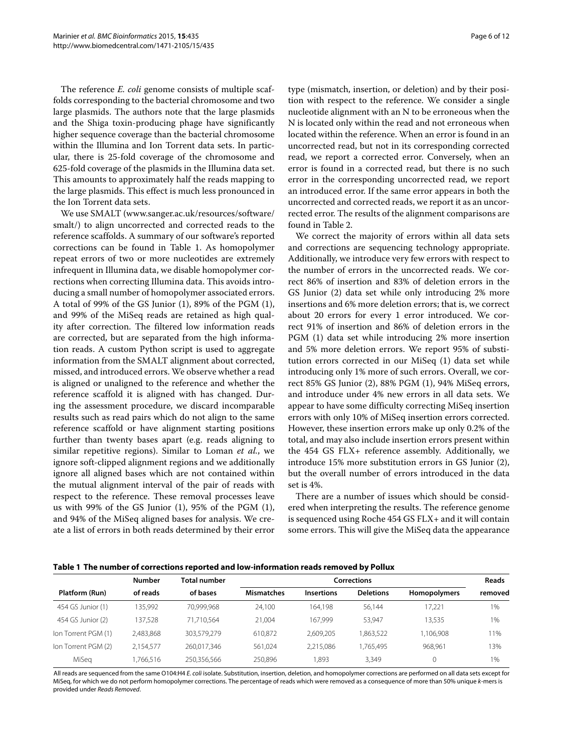The reference *E. coli* genome consists of multiple scaffolds corresponding to the bacterial chromosome and two large plasmids. The authors note that the large plasmids and the Shiga toxin-producing phage have significantly higher sequence coverage than the bacterial chromosome within the Illumina and Ion Torrent data sets. In particular, there is 25-fold coverage of the chromosome and 625-fold coverage of the plasmids in the Illumina data set. This amounts to approximately half the reads mapping to the large plasmids. This effect is much less pronounced in the Ion Torrent data sets.

We use SMALT [\(www.sanger.ac.uk/resources/software/](www.sanger.ac.uk/resources/software/smalt/) [smalt/\)](www.sanger.ac.uk/resources/software/smalt/) to align uncorrected and corrected reads to the reference scaffolds. A summary of our software's reported corrections can be found in Table [1.](#page-5-0) As homopolymer repeat errors of two or more nucleotides are extremely infrequent in Illumina data, we disable homopolymer corrections when correcting Illumina data. This avoids introducing a small number of homopolymer associated errors. A total of 99% of the GS Junior (1), 89% of the PGM (1), and 99% of the MiSeq reads are retained as high quality after correction. The filtered low information reads are corrected, but are separated from the high information reads. A custom Python script is used to aggregate information from the SMALT alignment about corrected, missed, and introduced errors. We observe whether a read is aligned or unaligned to the reference and whether the reference scaffold it is aligned with has changed. During the assessment procedure, we discard incomparable results such as read pairs which do not align to the same reference scaffold or have alignment starting positions further than twenty bases apart (e.g. reads aligning to similar repetitive regions). Similar to Loman *et al.*, we ignore soft-clipped alignment regions and we additionally ignore all aligned bases which are not contained within the mutual alignment interval of the pair of reads with respect to the reference. These removal processes leave us with 99% of the GS Junior (1), 95% of the PGM (1), and 94% of the MiSeq aligned bases for analysis. We create a list of errors in both reads determined by their error type (mismatch, insertion, or deletion) and by their position with respect to the reference. We consider a single nucleotide alignment with an N to be erroneous when the N is located only within the read and not erroneous when located within the reference. When an error is found in an uncorrected read, but not in its corresponding corrected read, we report a corrected error. Conversely, when an error is found in a corrected read, but there is no such error in the corresponding uncorrected read, we report an introduced error. If the same error appears in both the uncorrected and corrected reads, we report it as an uncorrected error. The results of the alignment comparisons are found in Table [2.](#page-6-0)

We correct the majority of errors within all data sets and corrections are sequencing technology appropriate. Additionally, we introduce very few errors with respect to the number of errors in the uncorrected reads. We correct 86% of insertion and 83% of deletion errors in the GS Junior (2) data set while only introducing 2% more insertions and 6% more deletion errors; that is, we correct about 20 errors for every 1 error introduced. We correct 91% of insertion and 86% of deletion errors in the PGM (1) data set while introducing 2% more insertion and 5% more deletion errors. We report 95% of substitution errors corrected in our MiSeq (1) data set while introducing only 1% more of such errors. Overall, we correct 85% GS Junior (2), 88% PGM (1), 94% MiSeq errors, and introduce under 4% new errors in all data sets. We appear to have some difficulty correcting MiSeq insertion errors with only 10% of MiSeq insertion errors corrected. However, these insertion errors make up only 0.2% of the total, and may also include insertion errors present within the 454 GS FLX+ reference assembly. Additionally, we introduce 15% more substitution errors in GS Junior (2), but the overall number of errors introduced in the data set is 4%.

There are a number of issues which should be considered when interpreting the results. The reference genome is sequenced using Roche 454 GS FLX+ and it will contain some errors. This will give the MiSeq data the appearance

|  |  | Table 1 The number of corrections reported and low-information reads removed by Pollux |
|--|--|----------------------------------------------------------------------------------------|
|  |  |                                                                                        |

<span id="page-5-0"></span>

|                     | <b>Number</b> | Total number | <b>Corrections</b> |                   |                  |                     | Reads   |
|---------------------|---------------|--------------|--------------------|-------------------|------------------|---------------------|---------|
| Platform (Run)      | of reads      | of bases     | <b>Mismatches</b>  | <b>Insertions</b> | <b>Deletions</b> | <b>Homopolymers</b> | removed |
| 454 GS Junior (1)   | 35.992        | 70.999.968   | 24.100             | 164.198           | 56.144           | 17.221              | 1%      |
| 454 GS Junior (2)   | 37.528        | 71.710.564   | 21.004             | 167.999           | 53.947           | 13.535              | 1%      |
| Ion Torrent PGM (1) | 2.483.868     | 303.579.279  | 610.872            | 2,609,205         | ,863,522         | 1,106,908           | 11%     |
| Ion Torrent PGM (2) | 2,154,577     | 260,017,346  | 561.024            | 2,215,086         | ,765,495         | 968.961             | 13%     |
| MiSea               | 1.766.516     | 250.356.566  | 250.896            | .893              | 3.349            | 0                   | 1%      |

All reads are sequenced from the same O104:H4 *E. coli* isolate. Substitution, insertion, deletion, and homopolymer corrections are performed on all data sets except for MiSeq, for which we do not perform homopolymer corrections. The percentage of reads which were removed as a consequence of more than 50% unique *k*-mers is provided under *Reads Removed*.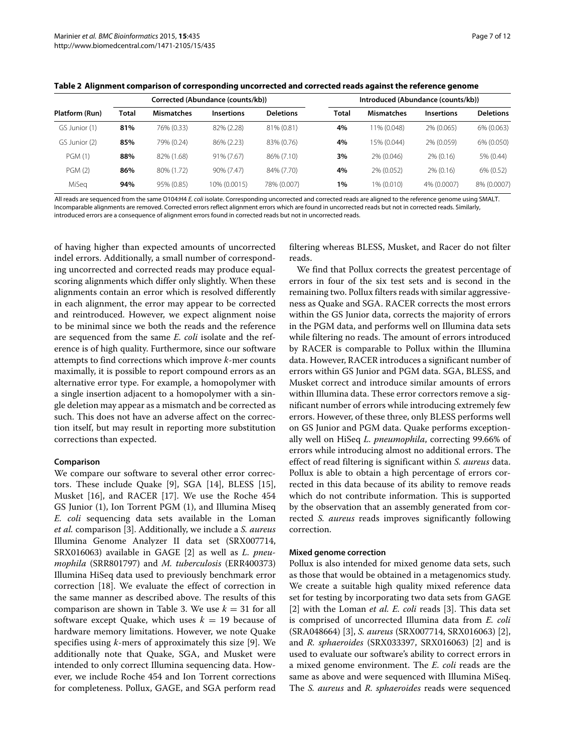<span id="page-6-0"></span>

|  |  |  | Table 2 Alignment comparison of corresponding uncorrected and corrected reads against the reference genome |  |
|--|--|--|------------------------------------------------------------------------------------------------------------|--|
|--|--|--|------------------------------------------------------------------------------------------------------------|--|

|                | Corrected (Abundance (counts/kb)) |                   |                   |                  | Introduced (Abundance (counts/kb)) |                   |                   |                  |
|----------------|-----------------------------------|-------------------|-------------------|------------------|------------------------------------|-------------------|-------------------|------------------|
| Platform (Run) | Total                             | <b>Mismatches</b> | <b>Insertions</b> | <b>Deletions</b> | Total                              | <b>Mismatches</b> | <b>Insertions</b> | <b>Deletions</b> |
| GS Junior (1)  | 81%                               | 76% (0.33)        | 82% (2.28)        | 81% (0.81)       | 4%                                 | 11% (0.048)       | 2% (0.065)        | 6% (0.063)       |
| GS Junior (2)  | 85%                               | 79% (0.24)        | 86% (2.23)        | 83% (0.76)       | 4%                                 | 15% (0.044)       | 2% (0.059)        | 6% (0.050)       |
| <b>PGM (1)</b> | 88%                               | 82% (1.68)        | 91% (7.67)        | 86% (7.10)       | 3%                                 | 2% (0.046)        | $2\%$ (0.16)      | 5% (0.44)        |
| <b>PGM (2)</b> | 86%                               | 80% (1.72)        | 90% (7.47)        | 84% (7.70)       | 4%                                 | 2% (0.052)        | $2\%$ (0.16)      | 6% (0.52)        |
| MiSeg          | 94%                               | 95% (0.85)        | 10% (0.0015)      | 78% (0.007)      | $1\%$                              | 1% (0.010)        | 4% (0.0007)       | 8% (0.0007)      |

All reads are sequenced from the same O104:H4 *E. coli* isolate. Corresponding uncorrected and corrected reads are aligned to the reference genome using SMALT. Incomparable alignments are removed. Corrected errors reflect alignment errors which are found in uncorrected reads but not in corrected reads. Similarly, introduced errors are a consequence of alignment errors found in corrected reads but not in uncorrected reads.

of having higher than expected amounts of uncorrected indel errors. Additionally, a small number of corresponding uncorrected and corrected reads may produce equalscoring alignments which differ only slightly. When these alignments contain an error which is resolved differently in each alignment, the error may appear to be corrected and reintroduced. However, we expect alignment noise to be minimal since we both the reads and the reference are sequenced from the same *E. coli* isolate and the reference is of high quality. Furthermore, since our software attempts to find corrections which improve *k*-mer counts maximally, it is possible to report compound errors as an alternative error type. For example, a homopolymer with a single insertion adjacent to a homopolymer with a single deletion may appear as a mismatch and be corrected as such. This does not have an adverse affect on the correction itself, but may result in reporting more substitution corrections than expected.

## **Comparison**

We compare our software to several other error correctors. These include Quake [\[9\]](#page-11-8), SGA [\[14\]](#page-11-13), BLESS [\[15\]](#page-11-14), Musket [\[16\]](#page-11-15), and RACER [\[17\]](#page-11-16). We use the Roche 454 GS Junior (1), Ion Torrent PGM (1), and Illumina Miseq *E. coli* sequencing data sets available in the Loman *et al.* comparison [\[3\]](#page-11-2). Additionally, we include a *S. aureus* Illumina Genome Analyzer II data set (SRX007714, SRX016063) available in GAGE [\[2\]](#page-11-1) as well as *L. pneumophila* (SRR801797) and *M. tuberculosis* (ERR400373) Illumina HiSeq data used to previously benchmark error correction [\[18\]](#page-11-17). We evaluate the effect of correction in the same manner as described above. The results of this comparison are shown in Table [3.](#page-7-0) We use  $k = 31$  for all software except Quake, which uses  $k = 19$  because of hardware memory limitations. However, we note Quake specifies using *k*-mers of approximately this size [\[9\]](#page-11-8). We additionally note that Quake, SGA, and Musket were intended to only correct Illumina sequencing data. However, we include Roche 454 and Ion Torrent corrections for completeness. Pollux, GAGE, and SGA perform read

filtering whereas BLESS, Musket, and Racer do not filter reads.

We find that Pollux corrects the greatest percentage of errors in four of the six test sets and is second in the remaining two. Pollux filters reads with similar aggressiveness as Quake and SGA. RACER corrects the most errors within the GS Junior data, corrects the majority of errors in the PGM data, and performs well on Illumina data sets while filtering no reads. The amount of errors introduced by RACER is comparable to Pollux within the Illumina data. However, RACER introduces a significant number of errors within GS Junior and PGM data. SGA, BLESS, and Musket correct and introduce similar amounts of errors within Illumina data. These error correctors remove a significant number of errors while introducing extremely few errors. However, of these three, only BLESS performs well on GS Junior and PGM data. Quake performs exceptionally well on HiSeq *L. pneumophila*, correcting 99.66% of errors while introducing almost no additional errors. The effect of read filtering is significant within *S. aureus* data. Pollux is able to obtain a high percentage of errors corrected in this data because of its ability to remove reads which do not contribute information. This is supported by the observation that an assembly generated from corrected *S. aureus* reads improves significantly following correction.

## **Mixed genome correction**

Pollux is also intended for mixed genome data sets, such as those that would be obtained in a metagenomics study. We create a suitable high quality mixed reference data set for testing by incorporating two data sets from GAGE [\[2\]](#page-11-1) with the Loman *et al. E. coli* reads [\[3\]](#page-11-2). This data set is comprised of uncorrected Illumina data from *E. coli* (SRA048664) [\[3\]](#page-11-2), *S. aureus* (SRX007714, SRX016063) [\[2\]](#page-11-1), and *R. sphaeroides* (SRX033397, SRX016063) [\[2\]](#page-11-1) and is used to evaluate our software's ability to correct errors in a mixed genome environment. The *E. coli* reads are the same as above and were sequenced with Illumina MiSeq. The *S. aureus* and *R. sphaeroides* reads were sequenced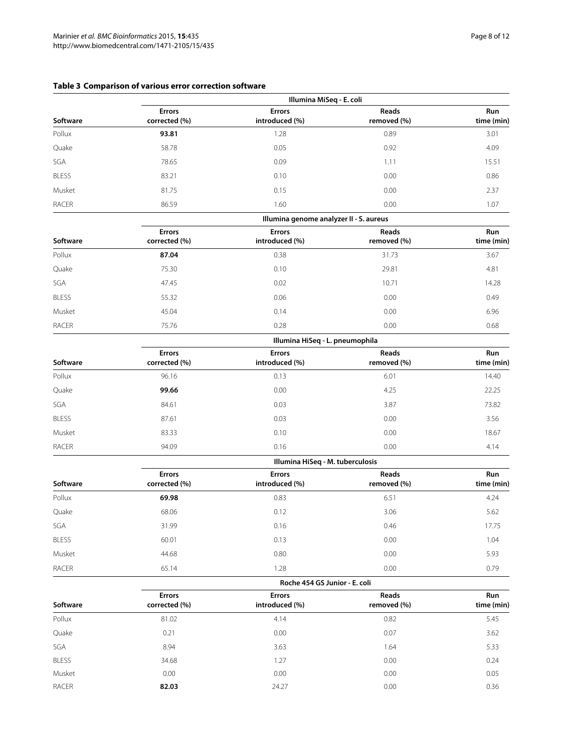## **Table 3 Comparison of various error correction software**

<span id="page-7-0"></span>

|              | Illumina MiSeq - E. coli         |                                         |                      |                   |  |  |  |  |
|--------------|----------------------------------|-----------------------------------------|----------------------|-------------------|--|--|--|--|
| Software     | Errors<br>corrected (%)          | <b>Errors</b><br>introduced (%)         | Reads<br>removed (%) | Run<br>time (min) |  |  |  |  |
| Pollux       | 93.81                            | 1.28                                    | 0.89                 | 3.01              |  |  |  |  |
| Quake        | 58.78                            | 0.05                                    | 0.92                 | 4.09              |  |  |  |  |
| SGA          | 78.65                            | 0.09                                    | 1.11                 | 15.51             |  |  |  |  |
| <b>BLESS</b> | 83.21                            | 0.10                                    | 0.00                 | 0.86              |  |  |  |  |
| Musket       | 81.75                            | 0.15                                    | 0.00                 | 2.37              |  |  |  |  |
| <b>RACER</b> | 86.59                            | 1.60                                    | 0.00                 | 1.07              |  |  |  |  |
|              |                                  | Illumina genome analyzer II - S. aureus |                      |                   |  |  |  |  |
| Software     | Errors<br>corrected (%)          | <b>Errors</b><br>introduced (%)         | Reads<br>removed (%) | Run<br>time (min) |  |  |  |  |
| Pollux       | 87.04                            | 0.38                                    | 31.73                | 3.67              |  |  |  |  |
| Quake        | 75.30                            | 0.10                                    | 29.81                | 4.81              |  |  |  |  |
| SGA          | 47.45                            | 0.02                                    | 10.71                | 14.28             |  |  |  |  |
| <b>BLESS</b> | 55.32                            | 0.06                                    | 0.00                 | 0.49              |  |  |  |  |
| Musket       | 45.04                            | 0.14                                    | 0.00                 | 6.96              |  |  |  |  |
| <b>RACER</b> | 75.76                            | 0.28                                    | 0.00                 | 0.68              |  |  |  |  |
|              |                                  | Illumina HiSeq - L. pneumophila         |                      |                   |  |  |  |  |
| Software     | <b>Errors</b><br>corrected (%)   | Errors<br>introduced (%)                | Reads<br>removed (%) | Run<br>time (min) |  |  |  |  |
| Pollux       | 96.16                            | 0.13                                    | 6.01                 | 14.40             |  |  |  |  |
| Quake        | 99.66                            | 0.00                                    | 4.25                 | 22.25             |  |  |  |  |
| SGA          | 84.61                            | 0.03                                    | 3.87                 | 73.82             |  |  |  |  |
| <b>BLESS</b> | 87.61                            | 0.03                                    | 0.00                 | 3.56              |  |  |  |  |
| Musket       | 83.33                            | 0.10                                    | 0.00                 | 18.67             |  |  |  |  |
| <b>RACER</b> | 94.09                            | 0.16                                    | 0.00                 | 4.14              |  |  |  |  |
|              | Illumina HiSeq - M. tuberculosis |                                         |                      |                   |  |  |  |  |
| Software     | Errors<br>corrected (%)          | Errors<br>introduced (%)                | Reads<br>removed (%) | Run<br>time (min) |  |  |  |  |
| Pollux       | 69.98                            | 0.83                                    | 6.51                 | 4.24              |  |  |  |  |
| Quake        | 68.06                            | 0.12                                    | 3.06                 | 5.62              |  |  |  |  |
| SGA          | 31.99                            | 0.16                                    | 0.46                 | 17.75             |  |  |  |  |
| <b>BLESS</b> | 60.01                            | 0.13                                    | 0.00                 | 1.04              |  |  |  |  |
| Musket       | 44.68                            | 0.80                                    | 0.00                 | 5.93              |  |  |  |  |
| <b>RACER</b> | 65.14                            | 1.28                                    | 0.00                 | 0.79              |  |  |  |  |
|              | Roche 454 GS Junior - E. coli    |                                         |                      |                   |  |  |  |  |
| Software     | <b>Errors</b><br>corrected (%)   | <b>Errors</b><br>introduced (%)         | Reads<br>removed (%) | Run<br>time (min) |  |  |  |  |
| Pollux       | 81.02                            | 4.14                                    | 0.82                 | 5.45              |  |  |  |  |
| Quake        | 0.21                             | 0.00                                    | 0.07                 | 3.62              |  |  |  |  |
| SGA          | 8.94                             | 3.63                                    | 1.64                 | 5.33              |  |  |  |  |
| <b>BLESS</b> | 34.68                            | 1.27                                    | 0.00                 | 0.24              |  |  |  |  |
| Musket       | $0.00\,$                         | 0.00                                    | 0.00                 | 0.05              |  |  |  |  |
| RACER        | 82.03                            | 24.27                                   | 0.00                 | 0.36              |  |  |  |  |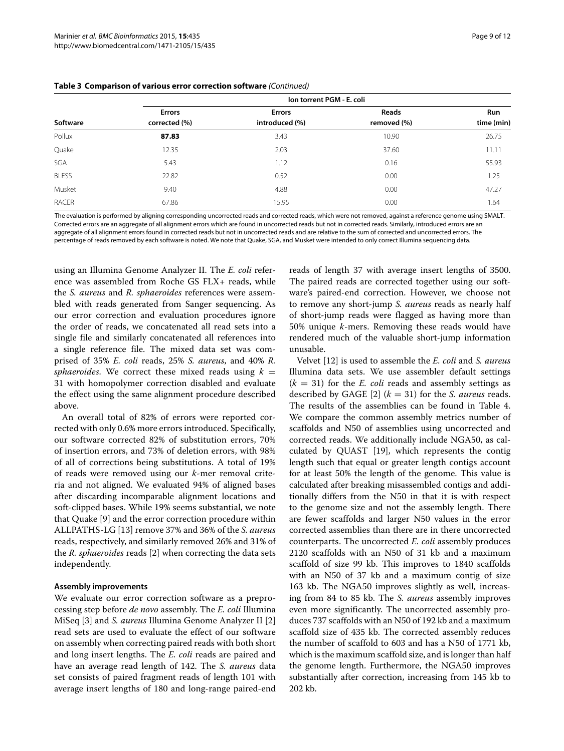|              | Ion torrent PGM - E. coli |                |             |            |  |  |  |  |
|--------------|---------------------------|----------------|-------------|------------|--|--|--|--|
|              | Errors                    | Errors         | Reads       | <b>Run</b> |  |  |  |  |
| Software     | corrected (%)             | introduced (%) | removed (%) | time (min) |  |  |  |  |
| Pollux       | 87.83                     | 3.43           | 10.90       | 26.75      |  |  |  |  |
| Quake        | 12.35                     | 2.03           | 37.60       | 11.11      |  |  |  |  |
| SGA          | 5.43                      | 1.12           | 0.16        | 55.93      |  |  |  |  |
| <b>BLESS</b> | 22.82                     | 0.52           | 0.00        | 1.25       |  |  |  |  |
| Musket       | 9.40                      | 4.88           | 0.00        | 47.27      |  |  |  |  |
| RACER        | 67.86                     | 15.95          | 0.00        | 1.64       |  |  |  |  |

#### **Table 3 Comparison of various error correction software** *(Continued)*

The evaluation is performed by aligning corresponding uncorrected reads and corrected reads, which were not removed, against a reference genome using SMALT. Corrected errors are an aggregate of all alignment errors which are found in uncorrected reads but not in corrected reads. Similarly, introduced errors are an aggregate of all alignment errors found in corrected reads but not in uncorrected reads and are relative to the sum of corrected and uncorrected errors. The percentage of reads removed by each software is noted. We note that Quake, SGA, and Musket were intended to only correct Illumina sequencing data.

using an Illumina Genome Analyzer II. The *E. coli* reference was assembled from Roche GS FLX+ reads, while the *S. aureus* and *R. sphaeroides* references were assembled with reads generated from Sanger sequencing. As our error correction and evaluation procedures ignore the order of reads, we concatenated all read sets into a single file and similarly concatenated all references into a single reference file. The mixed data set was comprised of 35% *E. coli* reads, 25% *S. aureus*, and 40% *R. sphaeroides*. We correct these mixed reads using  $k =$ 31 with homopolymer correction disabled and evaluate the effect using the same alignment procedure described above.

An overall total of 82% of errors were reported corrected with only 0.6% more errors introduced. Specifically, our software corrected 82% of substitution errors, 70% of insertion errors, and 73% of deletion errors, with 98% of all of corrections being substitutions. A total of 19% of reads were removed using our *k*-mer removal criteria and not aligned. We evaluated 94% of aligned bases after discarding incomparable alignment locations and soft-clipped bases. While 19% seems substantial, we note that Quake [\[9\]](#page-11-8) and the error correction procedure within ALLPATHS-LG [\[13\]](#page-11-12) remove 37% and 36% of the *S. aureus* reads, respectively, and similarly removed 26% and 31% of the *R. sphaeroides* reads [\[2\]](#page-11-1) when correcting the data sets independently.

#### **Assembly improvements**

We evaluate our error correction software as a preprocessing step before *de novo* assembly. The *E. coli* Illumina MiSeq [\[3\]](#page-11-2) and *S. aureus* Illumina Genome Analyzer II [\[2\]](#page-11-1) read sets are used to evaluate the effect of our software on assembly when correcting paired reads with both short and long insert lengths. The *E. coli* reads are paired and have an average read length of 142. The *S. aureus* data set consists of paired fragment reads of length 101 with average insert lengths of 180 and long-range paired-end reads of length 37 with average insert lengths of 3500. The paired reads are corrected together using our software's paired-end correction. However, we choose not to remove any short-jump *S. aureus* reads as nearly half of short-jump reads were flagged as having more than 50% unique *k*-mers. Removing these reads would have rendered much of the valuable short-jump information unusable.

Velvet [\[12\]](#page-11-11) is used to assemble the *E. coli* and *S. aureus* Illumina data sets. We use assembler default settings  $(k = 31)$  for the *E. coli* reads and assembly settings as described by GAGE [\[2\]](#page-11-1) (*k* = 31) for the *S. aureus* reads. The results of the assemblies can be found in Table [4.](#page-9-0) We compare the common assembly metrics number of scaffolds and N50 of assemblies using uncorrected and corrected reads. We additionally include NGA50, as calculated by QUAST [\[19\]](#page-11-18), which represents the contig length such that equal or greater length contigs account for at least 50% the length of the genome. This value is calculated after breaking misassembled contigs and additionally differs from the N50 in that it is with respect to the genome size and not the assembly length. There are fewer scaffolds and larger N50 values in the error corrected assemblies than there are in there uncorrected counterparts. The uncorrected *E. coli* assembly produces 2120 scaffolds with an N50 of 31 kb and a maximum scaffold of size 99 kb. This improves to 1840 scaffolds with an N50 of 37 kb and a maximum contig of size 163 kb. The NGA50 improves slightly as well, increasing from 84 to 85 kb. The *S. aureus* assembly improves even more significantly. The uncorrected assembly produces 737 scaffolds with an N50 of 192 kb and a maximum scaffold size of 435 kb. The corrected assembly reduces the number of scaffold to 603 and has a N50 of 1771 kb, which is the maximum scaffold size, and is longer than half the genome length. Furthermore, the NGA50 improves substantially after correction, increasing from 145 kb to 202 kb.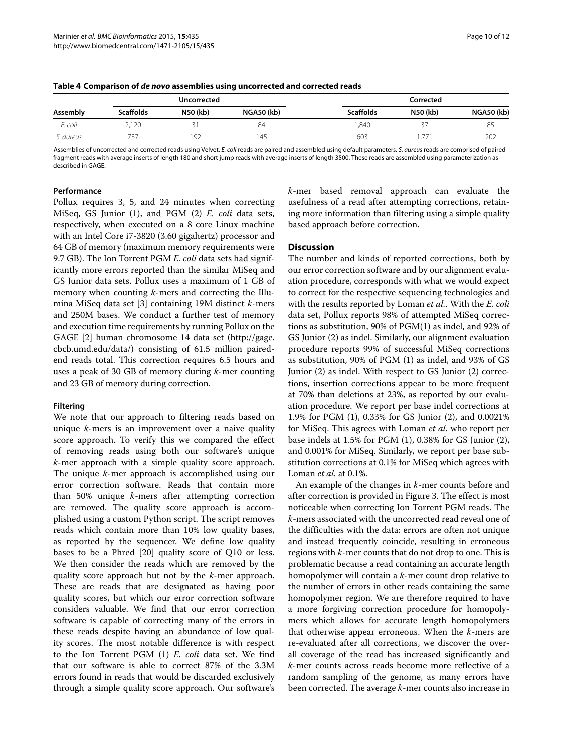<span id="page-9-0"></span>

|           |                  | Uncorrected |            |                  | Corrected |                   |  |
|-----------|------------------|-------------|------------|------------------|-----------|-------------------|--|
| Assembly  | <b>Scaffolds</b> | N50 (kb)    | NGA50 (kb) | <b>Scaffolds</b> | N50 (kb)  | <b>NGA50 (kb)</b> |  |
| E. coli   | 2,120            |             | 84         | .840             | ┘         | 85                |  |
| S. aureus | ر                | 192         | 145        | 603              |           | 202               |  |

#### **Table 4 Comparison of** *de novo* **assemblies using uncorrected and corrected reads**

Assemblies of uncorrected and corrected reads using Velvet. *E. coli* reads are paired and assembled using default parameters. *S. aureus* reads are comprised of paired fragment reads with average inserts of length 180 and short jump reads with average inserts of length 3500. These reads are assembled using parameterization as described in GAGE.

#### **Performance**

Pollux requires 3, 5, and 24 minutes when correcting MiSeq, GS Junior (1), and PGM (2) *E. coli* data sets, respectively, when executed on a 8 core Linux machine with an Intel Core i7-3820 (3.60 gigahertz) processor and 64 GB of memory (maximum memory requirements were 9.7 GB). The Ion Torrent PGM *E. coli* data sets had significantly more errors reported than the similar MiSeq and GS Junior data sets. Pollux uses a maximum of 1 GB of memory when counting *k*-mers and correcting the Illumina MiSeq data set [\[3\]](#page-11-2) containing 19M distinct *k*-mers and 250M bases. We conduct a further test of memory and execution time requirements by running Pollux on the GAGE [\[2\]](#page-11-1) human chromosome 14 data set [\(http://gage.](http://gage.cbcb.umd.edu/data/) [cbcb.umd.edu/data/\)](http://gage.cbcb.umd.edu/data/) consisting of 61.5 million pairedend reads total. This correction requires 6.5 hours and uses a peak of 30 GB of memory during *k*-mer counting and 23 GB of memory during correction.

#### **Filtering**

We note that our approach to filtering reads based on unique *k*-mers is an improvement over a naive quality score approach. To verify this we compared the effect of removing reads using both our software's unique *k*-mer approach with a simple quality score approach. The unique *k*-mer approach is accomplished using our error correction software. Reads that contain more than 50% unique *k*-mers after attempting correction are removed. The quality score approach is accomplished using a custom Python script. The script removes reads which contain more than 10% low quality bases, as reported by the sequencer. We define low quality bases to be a Phred [\[20\]](#page-11-19) quality score of Q10 or less. We then consider the reads which are removed by the quality score approach but not by the *k*-mer approach. These are reads that are designated as having poor quality scores, but which our error correction software considers valuable. We find that our error correction software is capable of correcting many of the errors in these reads despite having an abundance of low quality scores. The most notable difference is with respect to the Ion Torrent PGM (1) *E. coli* data set. We find that our software is able to correct 87% of the 3.3M errors found in reads that would be discarded exclusively through a simple quality score approach. Our software's

*k*-mer based removal approach can evaluate the usefulness of a read after attempting corrections, retaining more information than filtering using a simple quality based approach before correction.

## **Discussion**

The number and kinds of reported corrections, both by our error correction software and by our alignment evaluation procedure, corresponds with what we would expect to correct for the respective sequencing technologies and with the results reported by Loman *et al.*. With the *E. coli* data set, Pollux reports 98% of attempted MiSeq corrections as substitution, 90% of PGM(1) as indel, and 92% of GS Junior (2) as indel. Similarly, our alignment evaluation procedure reports 99% of successful MiSeq corrections as substitution, 90% of PGM (1) as indel, and 93% of GS Junior (2) as indel. With respect to GS Junior (2) corrections, insertion corrections appear to be more frequent at 70% than deletions at 23%, as reported by our evaluation procedure. We report per base indel corrections at 1.9% for PGM (1), 0.33% for GS Junior (2), and 0.0021% for MiSeq. This agrees with Loman *et al.* who report per base indels at 1.5% for PGM (1), 0.38% for GS Junior (2), and 0.001% for MiSeq. Similarly, we report per base substitution corrections at 0.1% for MiSeq which agrees with Loman *et al.* at 0.1%.

An example of the changes in *k*-mer counts before and after correction is provided in Figure [3.](#page-10-0) The effect is most noticeable when correcting Ion Torrent PGM reads. The *k*-mers associated with the uncorrected read reveal one of the difficulties with the data: errors are often not unique and instead frequently coincide, resulting in erroneous regions with *k*-mer counts that do not drop to one. This is problematic because a read containing an accurate length homopolymer will contain a *k*-mer count drop relative to the number of errors in other reads containing the same homopolymer region. We are therefore required to have a more forgiving correction procedure for homopolymers which allows for accurate length homopolymers that otherwise appear erroneous. When the *k*-mers are re-evaluated after all corrections, we discover the overall coverage of the read has increased significantly and *k*-mer counts across reads become more reflective of a random sampling of the genome, as many errors have been corrected. The average *k*-mer counts also increase in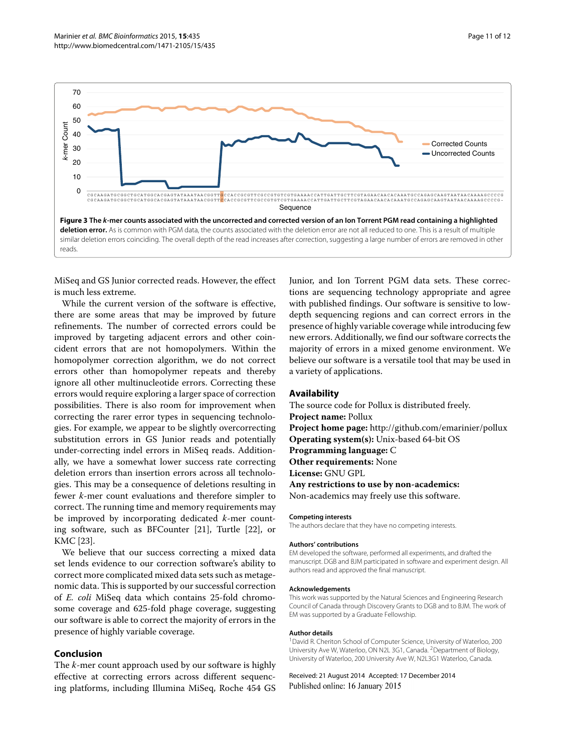

<span id="page-10-0"></span>MiSeq and GS Junior corrected reads. However, the effect is much less extreme.

While the current version of the software is effective, there are some areas that may be improved by future refinements. The number of corrected errors could be improved by targeting adjacent errors and other coincident errors that are not homopolymers. Within the homopolymer correction algorithm, we do not correct errors other than homopolymer repeats and thereby ignore all other multinucleotide errors. Correcting these errors would require exploring a larger space of correction possibilities. There is also room for improvement when correcting the rarer error types in sequencing technologies. For example, we appear to be slightly overcorrecting substitution errors in GS Junior reads and potentially under-correcting indel errors in MiSeq reads. Additionally, we have a somewhat lower success rate correcting deletion errors than insertion errors across all technologies. This may be a consequence of deletions resulting in fewer *k*-mer count evaluations and therefore simpler to correct. The running time and memory requirements may be improved by incorporating dedicated *k*-mer counting software, such as BFCounter [\[21\]](#page-11-20), Turtle [\[22\]](#page-11-21), or KMC [\[23\]](#page-11-22).

We believe that our success correcting a mixed data set lends evidence to our correction software's ability to correct more complicated mixed data sets such as metagenomic data. This is supported by our successful correction of *E. coli* MiSeq data which contains 25-fold chromosome coverage and 625-fold phage coverage, suggesting our software is able to correct the majority of errors in the presence of highly variable coverage.

## **Conclusion**

The *k*-mer count approach used by our software is highly effective at correcting errors across different sequencing platforms, including Illumina MiSeq, Roche 454 GS

Junior, and Ion Torrent PGM data sets. These corrections are sequencing technology appropriate and agree with published findings. Our software is sensitive to lowdepth sequencing regions and can correct errors in the presence of highly variable coverage while introducing few new errors. Additionally, we find our software corrects the majority of errors in a mixed genome environment. We believe our software is a versatile tool that may be used in a variety of applications.

#### **Availability**

The source code for Pollux is distributed freely. **Project name:** Pollux **Project home page:** <http://github.com/emarinier/pollux> **Operating system(s):** Unix-based 64-bit OS **Programming language:** C **Other requirements:** None **License:** GNU GPL **Any restrictions to use by non-academics:** Non-academics may freely use this software.

#### **Competing interests**

The authors declare that they have no competing interests.

#### **Authors' contributions**

EM developed the software, performed all experiments, and drafted the manuscript. DGB and BJM participated in software and experiment design. All authors read and approved the final manuscript.

#### **Acknowledgements**

This work was supported by the Natural Sciences and Engineering Research Council of Canada through Discovery Grants to DGB and to BJM. The work of EM was supported by a Graduate Fellowship.

#### **Author details**

1David R. Cheriton School of Computer Science, University of Waterloo, 200 University Ave W, Waterloo, ON N2L 3G1, Canada. <sup>2</sup> Department of Biology, University of Waterloo, 200 University Ave W, N2L3G1 Waterloo, Canada.

Received: 21 August 2014 Accepted: 17 December 2014Published online: 16 January 2015